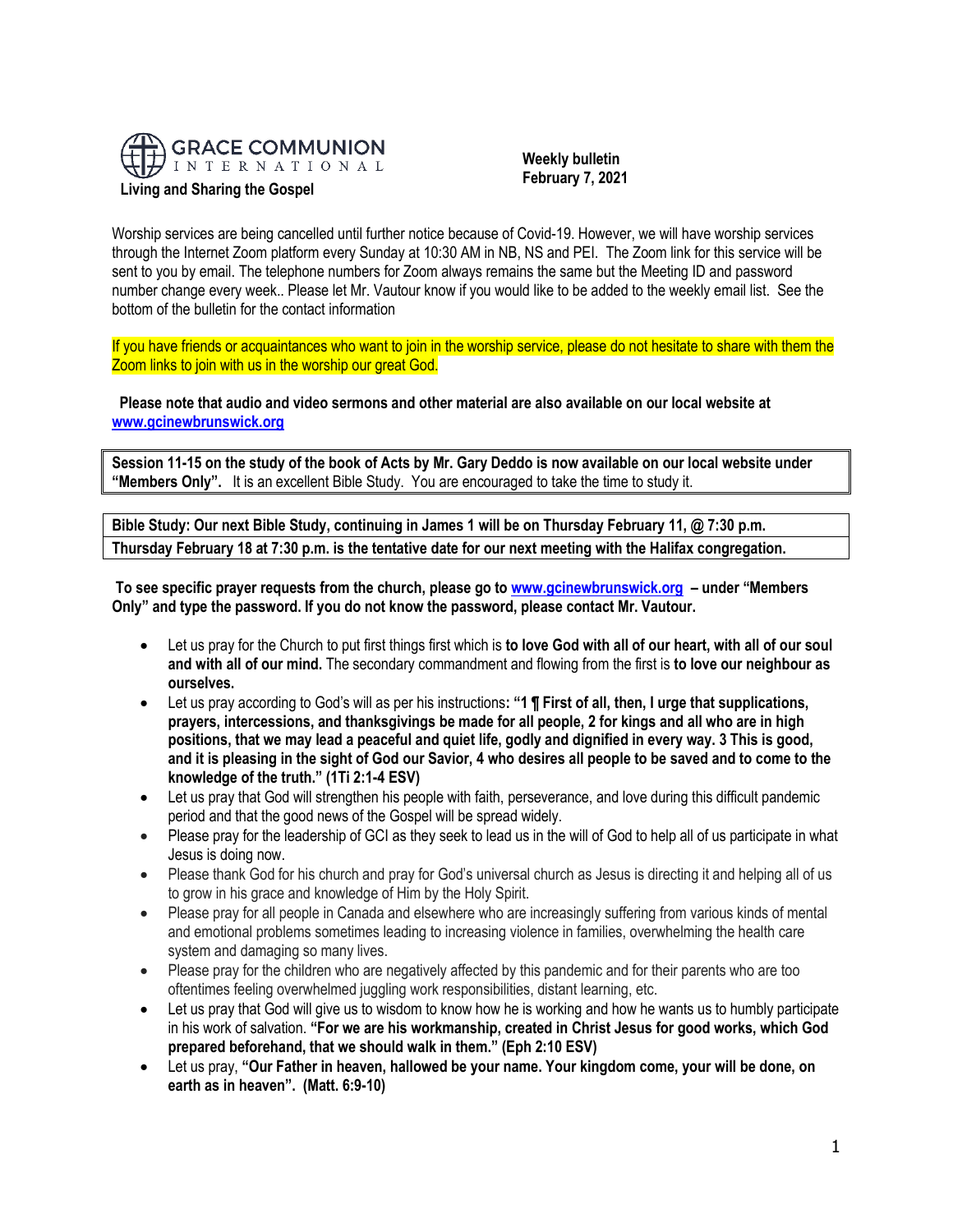

 **Weekly bulletin February 7, 2021**

Worship services are being cancelled until further notice because of Covid-19. However, we will have worship services through the Internet Zoom platform every Sunday at 10:30 AM in NB, NS and PEI. The Zoom link for this service will be sent to you by email. The telephone numbers for Zoom always remains the same but the Meeting ID and password number change every week.. Please let Mr. Vautour know if you would like to be added to the weekly email list. See the bottom of the bulletin for the contact information

If you have friends or acquaintances who want to join in the worship service, please do not hesitate to share with them the Zoom links to join with us in the worship our great God.

**Please note that audio and video sermons and other material are also available on our local website at [www.gcinewbrunswick.org](http://www.gcinewbrunswick.org/)**

**Session 11-15 on the study of the book of Acts by Mr. Gary Deddo is now available on our local website under "Members Only".** It is an excellent Bible Study. You are encouraged to take the time to study it.

**Bible Study: Our next Bible Study, continuing in James 1 will be on Thursday February 11, @ 7:30 p.m. Thursday February 18 at 7:30 p.m. is the tentative date for our next meeting with the Halifax congregation.**

**To see specific prayer requests from the church, please go t[o www.gcinewbrunswick.org](http://www.gcinewbrunswick.org/) – under "Members Only" and type the password. If you do not know the password, please contact Mr. Vautour.**

- Let us pray for the Church to put first things first which is **to love God with all of our heart, with all of our soul and with all of our mind.** The secondary commandment and flowing from the first is **to love our neighbour as ourselves.**
- Let us pray according to God's will as per his instructions**: "1 ¶ First of all, then, I urge that supplications, prayers, intercessions, and thanksgivings be made for all people, 2 for kings and all who are in high positions, that we may lead a peaceful and quiet life, godly and dignified in every way. 3 This is good, and it is pleasing in the sight of God our Savior, 4 who desires all people to be saved and to come to the knowledge of the truth." (1Ti 2:1-4 ESV)**
- Let us pray that God will strengthen his people with faith, perseverance, and love during this difficult pandemic period and that the good news of the Gospel will be spread widely.
- Please pray for the leadership of GCI as they seek to lead us in the will of God to help all of us participate in what Jesus is doing now.
- Please thank God for his church and pray for God's universal church as Jesus is directing it and helping all of us to grow in his grace and knowledge of Him by the Holy Spirit.
- Please pray for all people in Canada and elsewhere who are increasingly suffering from various kinds of mental and emotional problems sometimes leading to increasing violence in families, overwhelming the health care system and damaging so many lives.
- Please pray for the children who are negatively affected by this pandemic and for their parents who are too oftentimes feeling overwhelmed juggling work responsibilities, distant learning, etc.
- Let us pray that God will give us to wisdom to know how he is working and how he wants us to humbly participate in his work of salvation. **"For we are his workmanship, created in Christ Jesus for good works, which God prepared beforehand, that we should walk in them." (Eph 2:10 ESV)**
- Let us pray, **"Our Father in heaven, hallowed be your name. Your kingdom come, your will be done, on earth as in heaven". (Matt. 6:9-10)**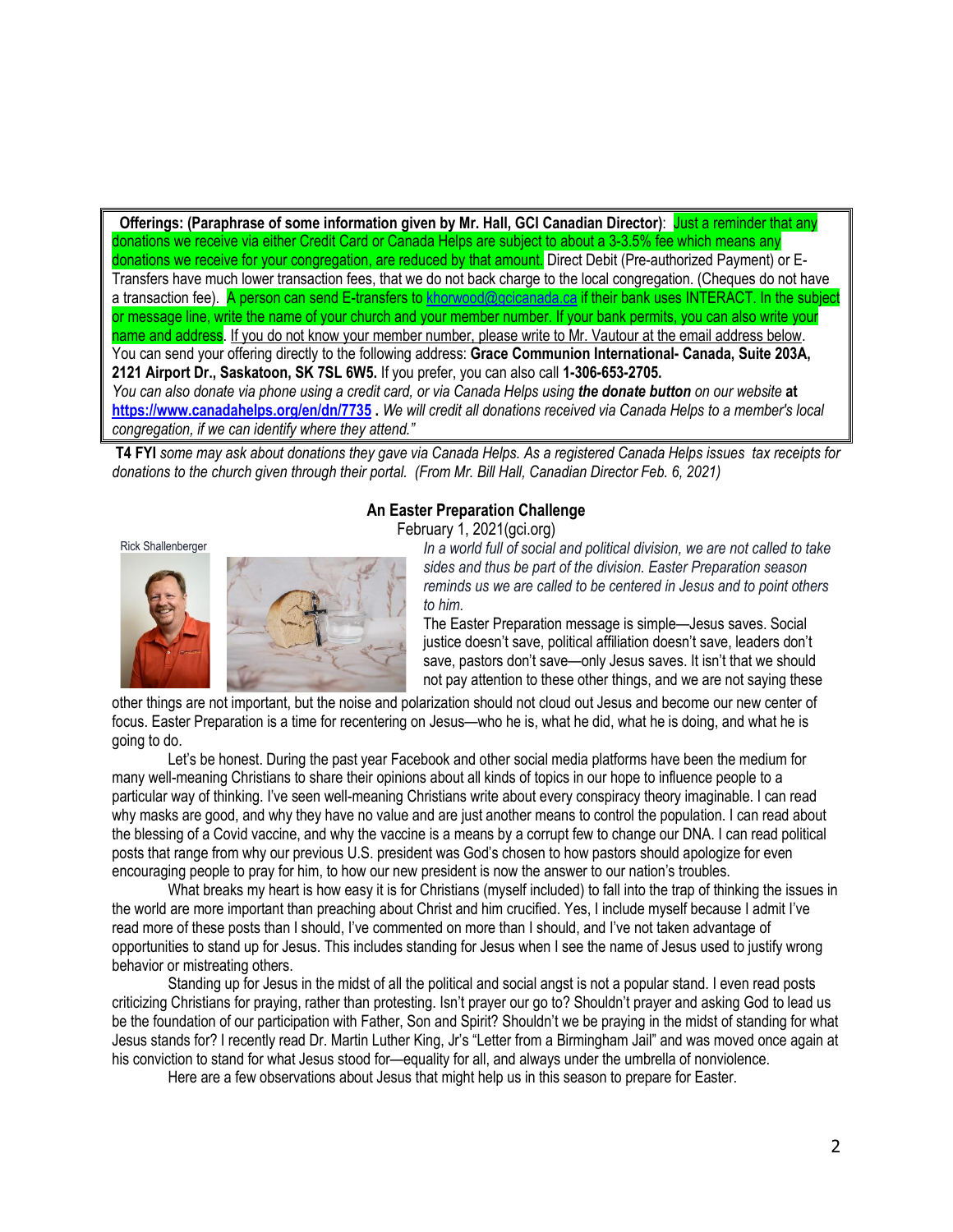**Offerings:** (Paraphrase of some information given by Mr. Hall, GCI Canadian Director): Just a reminder that any donations we receive via either Credit Card or Canada Helps are subject to about a 3-3.5% fee which means any donations we receive for your congregation, are reduced by that amount. Direct Debit (Pre-authorized Payment) or E-Transfers have much lower transaction fees, that we do not back charge to the local congregation. (Cheques do not have a transaction fee). A person can send E-transfers to [khorwood@gcicanada.ca](mailto:khorwood@gcicanada.ca) if their bank uses INTERACT. In the subject or message line, write the name of your church and your member number. If your bank permits, you can also write your name and address. If you do not know your member number, please write to Mr. Vautour at the email address below. You can send your offering directly to the following address: **Grace Communion International- Canada, Suite 203A, 2121 Airport Dr., Saskatoon, SK 7SL 6W5.** If you prefer, you can also call **1-306-653-2705.**  *You can also donate via phone using a credit card, or via Canada Helps using the donate button on our website* **at <https://www.canadahelps.org/en/dn/7735> .** *We will credit all donations received via Canada Helps to a member's local congregation, if we can identify where they attend."*

**T4 FYI** *some may ask about donations they gave via Canada Helps. As a registered Canada Helps issues tax receipts for donations to the church given through their portal. (From Mr. Bill Hall, Canadian Director Feb. 6, 2021)*

# **An Easter Preparation Challenge**

February 1, 2021(gci.org)



Rick Shallenberger *In a world full of social and political division, we are not called to take* **<b>***In a world full of social and political division, we are not called to take sides and thus be part of the division. Easter Preparation season reminds us we are called to be centered in Jesus and to point others to him.*

> The Easter Preparation message is simple—Jesus saves. Social justice doesn't save, political affiliation doesn't save, leaders don't save, pastors don't save—only Jesus saves. It isn't that we should not pay attention to these other things, and we are not saying these

other things are not important, but the noise and polarization should not cloud out Jesus and become our new center of focus. Easter Preparation is a time for recentering on Jesus—who he is, what he did, what he is doing, and what he is going to do.

Let's be honest. During the past year Facebook and other social media platforms have been the medium for many well-meaning Christians to share their opinions about all kinds of topics in our hope to influence people to a particular way of thinking. I've seen well-meaning Christians write about every conspiracy theory imaginable. I can read why masks are good, and why they have no value and are just another means to control the population. I can read about the blessing of a Covid vaccine, and why the vaccine is a means by a corrupt few to change our DNA. I can read political posts that range from why our previous U.S. president was God's chosen to how pastors should apologize for even encouraging people to pray for him, to how our new president is now the answer to our nation's troubles.

What breaks my heart is how easy it is for Christians (myself included) to fall into the trap of thinking the issues in the world are more important than preaching about Christ and him crucified. Yes, I include myself because I admit I've read more of these posts than I should, I've commented on more than I should, and I've not taken advantage of opportunities to stand up for Jesus. This includes standing for Jesus when I see the name of Jesus used to justify wrong behavior or mistreating others.

Standing up for Jesus in the midst of all the political and social angst is not a popular stand. I even read posts criticizing Christians for praying, rather than protesting. Isn't prayer our go to? Shouldn't prayer and asking God to lead us be the foundation of our participation with Father, Son and Spirit? Shouldn't we be praying in the midst of standing for what Jesus stands for? I recently read Dr. Martin Luther King, Jr's "Letter from a Birmingham Jail" and was moved once again at his conviction to stand for what Jesus stood for—equality for all, and always under the umbrella of nonviolence.

Here are a few observations about Jesus that might help us in this season to prepare for Easter.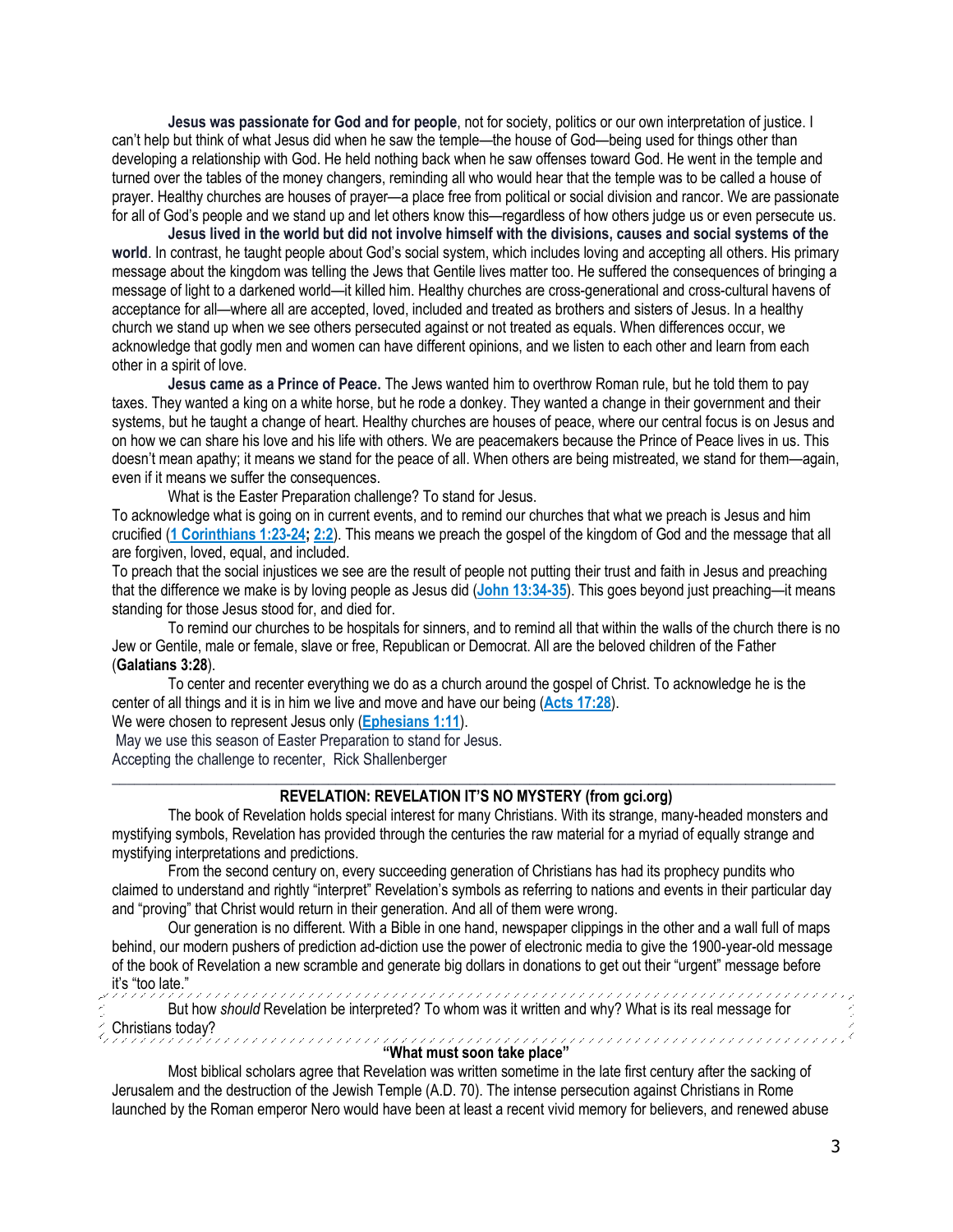**Jesus was passionate for God and for people**, not for society, politics or our own interpretation of justice. I can't help but think of what Jesus did when he saw the temple—the house of God—being used for things other than developing a relationship with God. He held nothing back when he saw offenses toward God. He went in the temple and turned over the tables of the money changers, reminding all who would hear that the temple was to be called a house of prayer. Healthy churches are houses of prayer—a place free from political or social division and rancor. We are passionate for all of God's people and we stand up and let others know this—regardless of how others judge us or even persecute us.

**Jesus lived in the world but did not involve himself with the divisions, causes and social systems of the world**. In contrast, he taught people about God's social system, which includes loving and accepting all others. His primary message about the kingdom was telling the Jews that Gentile lives matter too. He suffered the consequences of bringing a message of light to a darkened world—it killed him. Healthy churches are cross-generational and cross-cultural havens of acceptance for all—where all are accepted, loved, included and treated as brothers and sisters of Jesus. In a healthy church we stand up when we see others persecuted against or not treated as equals. When differences occur, we acknowledge that godly men and women can have different opinions, and we listen to each other and learn from each other in a spirit of love.

**Jesus came as a Prince of Peace.** The Jews wanted him to overthrow Roman rule, but he told them to pay taxes. They wanted a king on a white horse, but he rode a donkey. They wanted a change in their government and their systems, but he taught a change of heart. Healthy churches are houses of peace, where our central focus is on Jesus and on how we can share his love and his life with others. We are peacemakers because the Prince of Peace lives in us. This doesn't mean apathy; it means we stand for the peace of all. When others are being mistreated, we stand for them—again, even if it means we suffer the consequences.

What is the Easter Preparation challenge? To stand for Jesus.

To acknowledge what is going on in current events, and to remind our churches that what we preach is Jesus and him crucified (**[1 Corinthians 1:23-24;](https://biblia.com/bible/niv/1%20Cor%201.23-24) [2:2](https://biblia.com/bible/niv/1%20Corinthians%202.2)**). This means we preach the gospel of the kingdom of God and the message that all are forgiven, loved, equal, and included.

To preach that the social injustices we see are the result of people not putting their trust and faith in Jesus and preaching that the difference we make is by loving people as Jesus did (**[John 13:34-35](https://biblia.com/bible/niv/John%2013.34-35)**). This goes beyond just preaching—it means standing for those Jesus stood for, and died for.

To remind our churches to be hospitals for sinners, and to remind all that within the walls of the church there is no Jew or Gentile, male or female, slave or free, Republican or Democrat. All are the beloved children of the Father (**Galatians 3:28**).

To center and recenter everything we do as a church around the gospel of Christ. To acknowledge he is the center of all things and it is in him we live and move and have our being (**[Acts 17:28](https://biblia.com/bible/niv/Acts%2017.28)**).

We were chosen to represent Jesus only (**[Ephesians 1:11](https://biblia.com/bible/niv/Eph%201.11)**).

May we use this season of Easter Preparation to stand for Jesus. Accepting the challenge to recenter, Rick Shallenberger

### $\_$  ,  $\_$  ,  $\_$  ,  $\_$  ,  $\_$  ,  $\_$  ,  $\_$  ,  $\_$  ,  $\_$  ,  $\_$  ,  $\_$  ,  $\_$  ,  $\_$  ,  $\_$  ,  $\_$  ,  $\_$  ,  $\_$  ,  $\_$  ,  $\_$  ,  $\_$  ,  $\_$  ,  $\_$  ,  $\_$  ,  $\_$  ,  $\_$  ,  $\_$  ,  $\_$  ,  $\_$  ,  $\_$  ,  $\_$  ,  $\_$  ,  $\_$  ,  $\_$  ,  $\_$  ,  $\_$  ,  $\_$  ,  $\_$  , **REVELATION: REVELATION IT'S NO MYSTERY (from gci.org)**

The book of Revelation holds special interest for many Christians. With its strange, many-headed monsters and mystifying symbols, Revelation has provided through the centuries the raw material for a myriad of equally strange and mystifying interpretations and predictions.

From the second century on, every succeeding generation of Christians has had its prophecy pundits who claimed to understand and rightly "interpret" Revelation's symbols as referring to nations and events in their particular day and "proving" that Christ would return in their generation. And all of them were wrong.

Our generation is no different. With a Bible in one hand, newspaper clippings in the other and a wall full of maps behind, our modern pushers of prediction ad-diction use the power of electronic media to give the 1900-year-old message of the book of Revelation a new scramble and generate big dollars in donations to get out their "urgent" message before it's "too late."

But how *should* Revelation be interpreted? To whom was it written and why? What is its real message for Christians today?

### **"What must soon take place"**

Most biblical scholars agree that Revelation was written sometime in the late first century after the sacking of Jerusalem and the destruction of the Jewish Temple (A.D. 70). The intense persecution against Christians in Rome launched by the Roman emperor Nero would have been at least a recent vivid memory for believers, and renewed abuse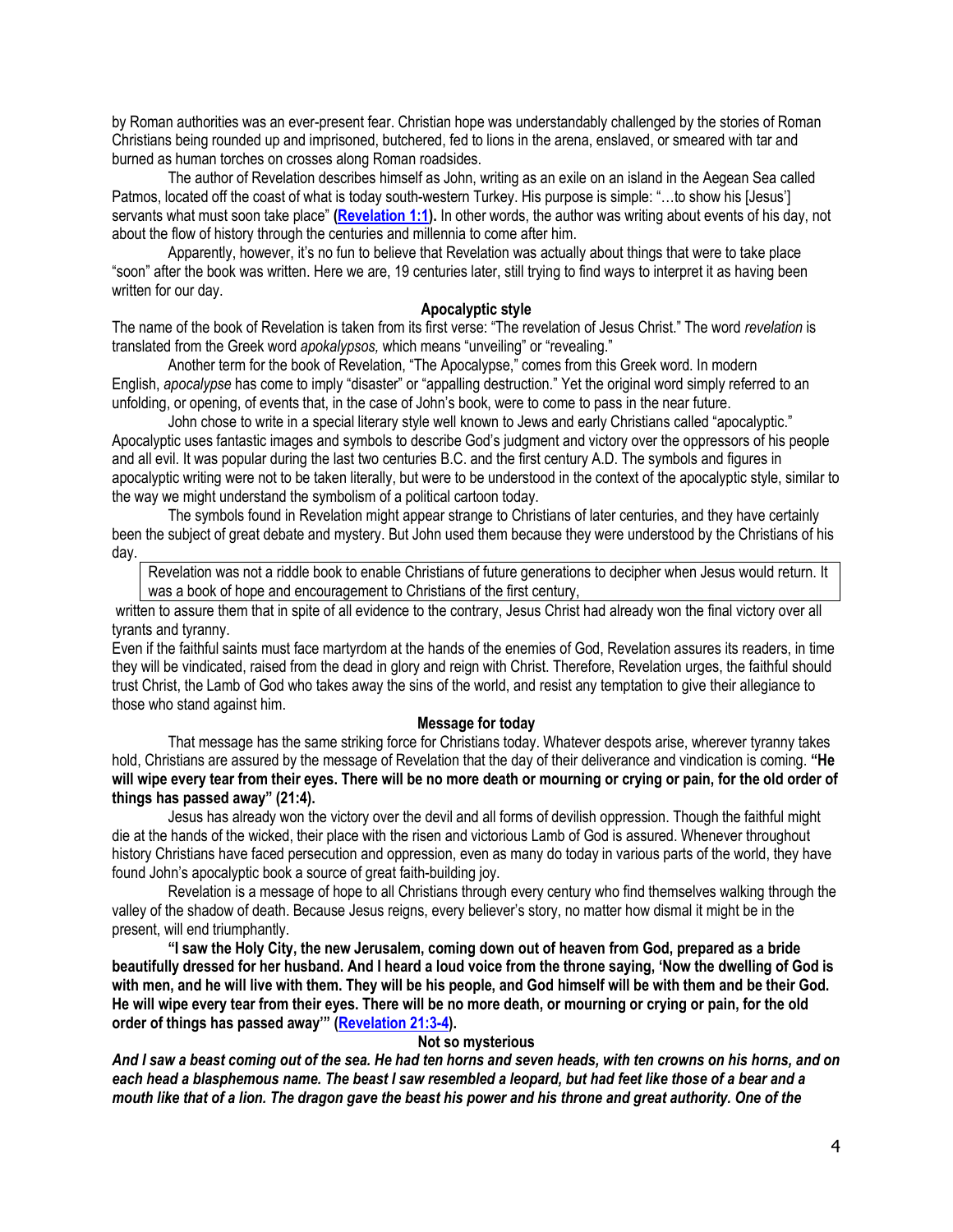by Roman authorities was an ever-present fear. Christian hope was understandably challenged by the stories of Roman Christians being rounded up and imprisoned, butchered, fed to lions in the arena, enslaved, or smeared with tar and burned as human torches on crosses along Roman roadsides.

The author of Revelation describes himself as John, writing as an exile on an island in the Aegean Sea called Patmos, located off the coast of what is today south-western Turkey. His purpose is simple: "…to show his [Jesus'] servants what must soon take place" **[\(Revelation 1:1\)](https://biblia.com/bible/niv/Rev%201.1).** In other words, the author was writing about events of his day, not about the flow of history through the centuries and millennia to come after him.

Apparently, however, it's no fun to believe that Revelation was actually about things that were to take place "soon" after the book was written. Here we are, 19 centuries later, still trying to find ways to interpret it as having been written for our day.

### **Apocalyptic style**

The name of the book of Revelation is taken from its first verse: "The revelation of Jesus Christ." The word *revelation* is translated from the Greek word *apokalypsos,* which means "unveiling" or "revealing."

Another term for the book of Revelation, "The Apocalypse," comes from this Greek word. In modern English, *apocalypse* has come to imply "disaster" or "appalling destruction." Yet the original word simply referred to an unfolding, or opening, of events that, in the case of John's book, were to come to pass in the near future.

John chose to write in a special literary style well known to Jews and early Christians called "apocalyptic." Apocalyptic uses fantastic images and symbols to describe God's judgment and victory over the oppressors of his people and all evil. It was popular during the last two centuries B.C. and the first century A.D. The symbols and figures in apocalyptic writing were not to be taken literally, but were to be understood in the context of the apocalyptic style, similar to the way we might understand the symbolism of a political cartoon today.

The symbols found in Revelation might appear strange to Christians of later centuries, and they have certainly been the subject of great debate and mystery. But John used them because they were understood by the Christians of his day.

Revelation was not a riddle book to enable Christians of future generations to decipher when Jesus would return. It was a book of hope and encouragement to Christians of the first century,

written to assure them that in spite of all evidence to the contrary, Jesus Christ had already won the final victory over all tyrants and tyranny.

Even if the faithful saints must face martyrdom at the hands of the enemies of God, Revelation assures its readers, in time they will be vindicated, raised from the dead in glory and reign with Christ. Therefore, Revelation urges, the faithful should trust Christ, the Lamb of God who takes away the sins of the world, and resist any temptation to give their allegiance to those who stand against him.

### **Message for today**

That message has the same striking force for Christians today. Whatever despots arise, wherever tyranny takes hold, Christians are assured by the message of Revelation that the day of their deliverance and vindication is coming. **"He will wipe every tear from their eyes. There will be no more death or mourning or crying or pain, for the old order of things has passed away" (21:4).**

Jesus has already won the victory over the devil and all forms of devilish oppression. Though the faithful might die at the hands of the wicked, their place with the risen and victorious Lamb of God is assured. Whenever throughout history Christians have faced persecution and oppression, even as many do today in various parts of the world, they have found John's apocalyptic book a source of great faith-building joy.

Revelation is a message of hope to all Christians through every century who find themselves walking through the valley of the shadow of death. Because Jesus reigns, every believer's story, no matter how dismal it might be in the present, will end triumphantly.

**"I saw the Holy City, the new Jerusalem, coming down out of heaven from God, prepared as a bride beautifully dressed for her husband. And I heard a loud voice from the throne saying, 'Now the dwelling of God is with men, and he will live with them. They will be his people, and God himself will be with them and be their God. He will wipe every tear from their eyes. There will be no more death, or mourning or crying or pain, for the old order of things has passed away'" ([Revelation 21:3-4\)](https://biblia.com/bible/niv/Rev%2021.3-4).**

#### **Not so mysterious**

*And I saw a beast coming out of the sea. He had ten horns and seven heads, with ten crowns on his horns, and on each head a blasphemous name. The beast I saw resembled a leopard, but had feet like those of a bear and a mouth like that of a lion. The dragon gave the beast his power and his throne and great authority. One of the*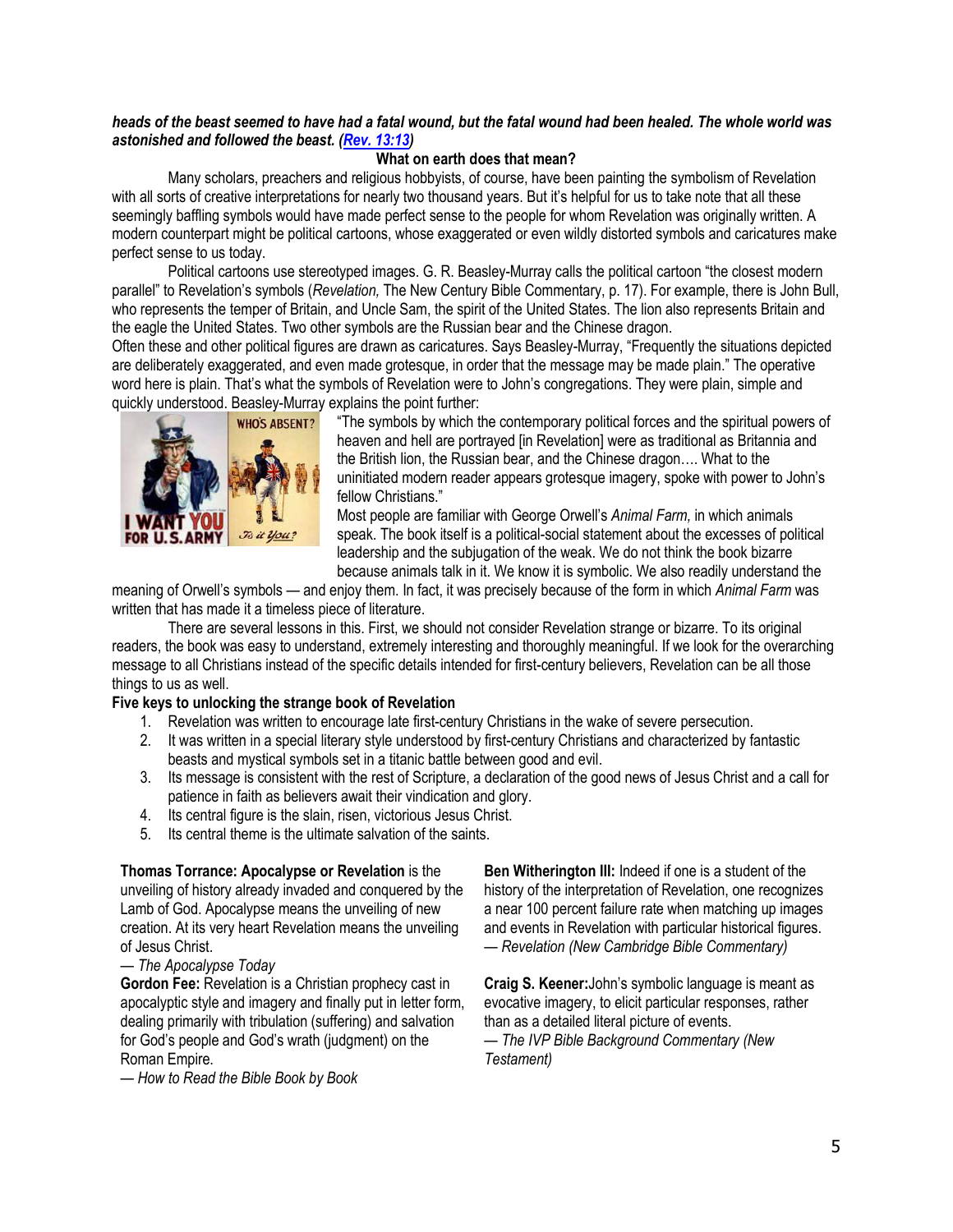## *heads of the beast seemed to have had a fatal wound, but the fatal wound had been healed. The whole world was astonished and followed the beast. [\(Rev. 13:13\)](https://biblia.com/bible/niv/Rev.%2013.13)*

# **What on earth does that mean?**

Many scholars, preachers and religious hobbyists, of course, have been painting the symbolism of Revelation with all sorts of creative interpretations for nearly two thousand years. But it's helpful for us to take note that all these seemingly baffling symbols would have made perfect sense to the people for whom Revelation was originally written. A modern counterpart might be political cartoons, whose exaggerated or even wildly distorted symbols and caricatures make perfect sense to us today.

Political cartoons use stereotyped images. G. R. Beasley-Murray calls the political cartoon "the closest modern parallel" to Revelation's symbols (*Revelation,* The New Century Bible Commentary, p. 17). For example, there is John Bull, who represents the temper of Britain, and Uncle Sam, the spirit of the United States. The lion also represents Britain and the eagle the United States. Two other symbols are the Russian bear and the Chinese dragon.

Often these and other political figures are drawn as caricatures. Says Beasley-Murray, "Frequently the situations depicted are deliberately exaggerated, and even made grotesque, in order that the message may be made plain." The operative word here is plain. That's what the symbols of Revelation were to John's congregations. They were plain, simple and quickly understood. Beasley-Murray explains the point further:



"The symbols by which the contemporary political forces and the spiritual powers of heaven and hell are portrayed [in Revelation] were as traditional as Britannia and the British lion, the Russian bear, and the Chinese dragon…. What to the uninitiated modern reader appears grotesque imagery, spoke with power to John's fellow Christians."

Most people are familiar with George Orwell's *Animal Farm,* in which animals speak. The book itself is a political-social statement about the excesses of political leadership and the subjugation of the weak. We do not think the book bizarre because animals talk in it. We know it is symbolic. We also readily understand the

meaning of Orwell's symbols — and enjoy them. In fact, it was precisely because of the form in which *Animal Farm* was written that has made it a timeless piece of literature.

There are several lessons in this. First, we should not consider Revelation strange or bizarre. To its original readers, the book was easy to understand, extremely interesting and thoroughly meaningful. If we look for the overarching message to all Christians instead of the specific details intended for first-century believers, Revelation can be all those things to us as well.

# **Five keys to unlocking the strange book of Revelation**

- 1. Revelation was written to encourage late first-century Christians in the wake of severe persecution.
- 2. It was written in a special literary style understood by first-century Christians and characterized by fantastic beasts and mystical symbols set in a titanic battle between good and evil.
- 3. Its message is consistent with the rest of Scripture, a declaration of the good news of Jesus Christ and a call for patience in faith as believers await their vindication and glory.
- 4. Its central figure is the slain, risen, victorious Jesus Christ.
- 5. Its central theme is the ultimate salvation of the saints.

# **Thomas Torrance: Apocalypse or Revelation** is the unveiling of history already invaded and conquered by the

Lamb of God. Apocalypse means the unveiling of new creation. At its very heart Revelation means the unveiling of Jesus Christ.

# — *The Apocalypse Today*

**Gordon Fee:** Revelation is a Christian prophecy cast in apocalyptic style and imagery and finally put in letter form, dealing primarily with tribulation (suffering) and salvation for God's people and God's wrath (judgment) on the Roman Empire.

— *How to Read the Bible Book by Book*

**Ben Witherington III:** Indeed if one is a student of the history of the interpretation of Revelation, one recognizes a near 100 percent failure rate when matching up images and events in Revelation with particular historical figures. — *Revelation (New Cambridge Bible Commentary)*

**Craig S. Keener:**John's symbolic language is meant as evocative imagery, to elicit particular responses, rather than as a detailed literal picture of events.

— *The IVP Bible Background Commentary (New Testament)*